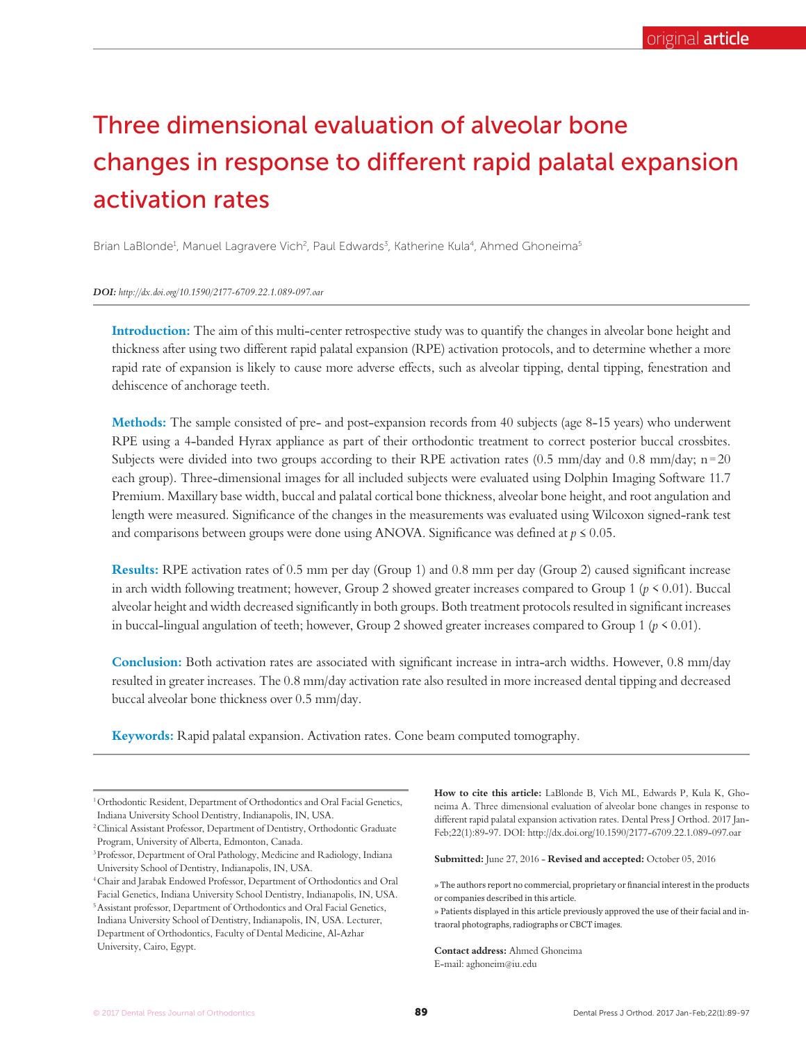# Three dimensional evaluation of alveolar bone changes in response to different rapid palatal expansion activation rates

Brian LaBlonde<sup>1</sup>, Manuel Lagravere Vich<sup>2</sup>, Paul Edwards<sup>3</sup>, Katherine Kula<sup>4</sup>, Ahmed Ghoneima<sup>5</sup>

*DOI: http://dx.doi.org/10.1590/2177-6709.22.1.089-097.oar*

**Introduction:** The aim of this multi-center retrospective study was to quantify the changes in alveolar bone height and thickness after using two different rapid palatal expansion (RPE) activation protocols, and to determine whether a more rapid rate of expansion is likely to cause more adverse effects, such as alveolar tipping, dental tipping, fenestration and dehiscence of anchorage teeth.

**Methods:** The sample consisted of pre- and post-expansion records from 40 subjects (age 8-15 years) who underwent RPE using a 4-banded Hyrax appliance as part of their orthodontic treatment to correct posterior buccal crossbites. Subjects were divided into two groups according to their RPE activation rates  $(0.5 \text{ mm/day and } 0.8 \text{ mm/day; } n = 20$ each group). Three-dimensional images for all included subjects were evaluated using Dolphin Imaging Software 11.7 Premium. Maxillary base width, buccal and palatal cortical bone thickness, alveolar bone height, and root angulation and length were measured. Significance of the changes in the measurements was evaluated using Wilcoxon signed-rank test and comparisons between groups were done using ANOVA. Significance was defined at  $p \leq 0.05$ .

**Results:** RPE activation rates of 0.5 mm per day (Group 1) and 0.8 mm per day (Group 2) caused significant increase in arch width following treatment; however, Group 2 showed greater increases compared to Group 1 (*p* < 0.01). Buccal alveolar height and width decreased significantly in both groups. Both treatment protocols resulted in significant increases in buccal-lingual angulation of teeth; however, Group 2 showed greater increases compared to Group 1 ( $p \le 0.01$ ).

**Conclusion:** Both activation rates are associated with significant increase in intra-arch widths. However, 0.8 mm/day resulted in greater increases. The 0.8 mm/day activation rate also resulted in more increased dental tipping and decreased buccal alveolar bone thickness over 0.5 mm/day.

**Keywords:** Rapid palatal expansion. Activation rates. Cone beam computed tomography.

**How to cite this article:** LaBlonde B, Vich ML, Edwards P, Kula K, Ghoneima A. Three dimensional evaluation of alveolar bone changes in response to different rapid palatal expansion activation rates. Dental Press J Orthod. 2017 Jan-Feb;22(1):89-97. DOI: http://dx.doi.org/10.1590/2177-6709.22.1.089-097.oar

**Submitted:** June 27, 2016 - **Revised and accepted:** October 05, 2016

» The authors report no commercial, proprietary or financial interest in the products or companies described in this article.

**Contact address:** Ahmed Ghoneima E-mail: aghoneim@iu.edu

<sup>&</sup>lt;sup>1</sup> Orthodontic Resident, Department of Orthodontics and Oral Facial Genetics, Indiana University School Dentistry, Indianapolis, IN, USA.

<sup>2</sup> Clinical Assistant Professor, Department of Dentistry, Orthodontic Graduate Program, University of Alberta, Edmonton, Canada.

<sup>3</sup> Professor, Department of Oral Pathology, Medicine and Radiology, Indiana University School of Dentistry, Indianapolis, IN, USA.

<sup>4</sup> Chair and Jarabak Endowed Professor, Department of Orthodontics and Oral

Facial Genetics, Indiana University School Dentistry, Indianapolis, IN, USA. 5 Assistant professor, Department of Orthodontics and Oral Facial Genetics, Indiana University School of Dentistry, Indianapolis, IN, USA. Lecturer, Department of Orthodontics, Faculty of Dental Medicine, Al-Azhar University, Cairo, Egypt.

<sup>»</sup> Patients displayed in this article previously approved the use of their facial and intraoral photographs, radiographs or CBCT images.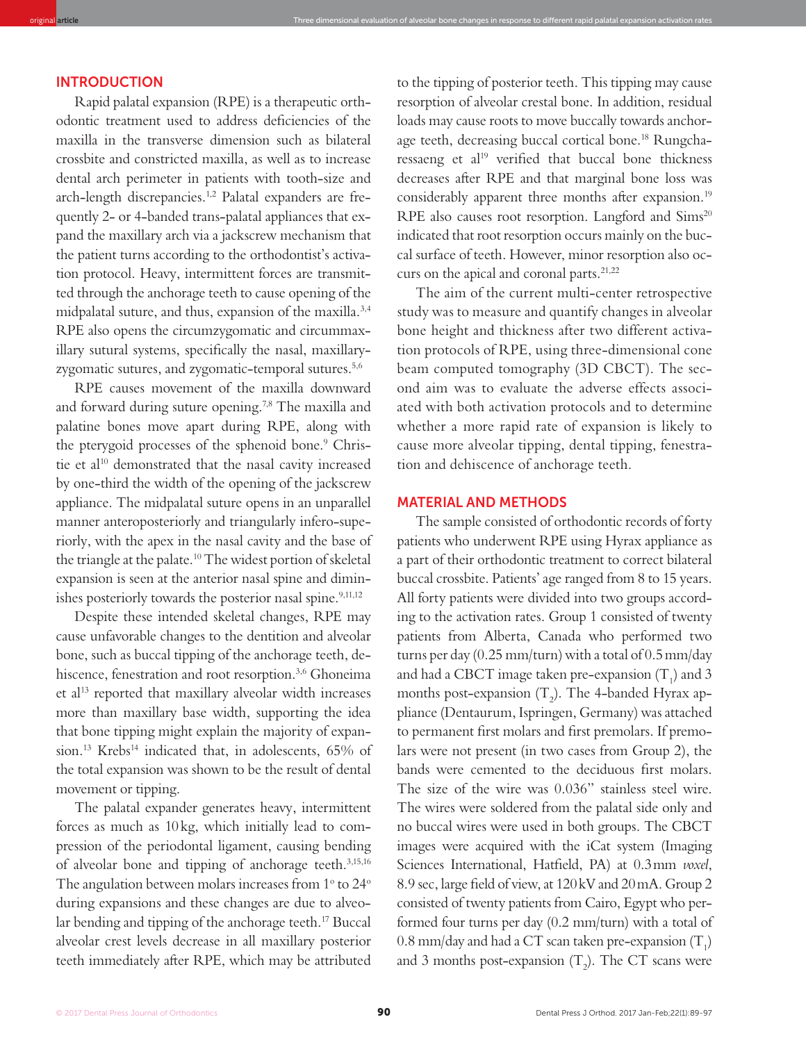## INTRODUCTION

Rapid palatal expansion (RPE) is a therapeutic orthodontic treatment used to address deiciencies of the maxilla in the transverse dimension such as bilateral crossbite and constricted maxilla, as well as to increase dental arch perimeter in patients with tooth-size and arch-length discrepancies.1,2 Palatal expanders are frequently 2- or 4-banded trans-palatal appliances that expand the maxillary arch via a jackscrew mechanism that the patient turns according to the orthodontist's activation protocol. Heavy, intermittent forces are transmitted through the anchorage teeth to cause opening of the midpalatal suture, and thus, expansion of the maxilla.3,4 RPE also opens the circumzygomatic and circummaxillary sutural systems, specifically the nasal, maxillaryzygomatic sutures, and zygomatic-temporal sutures.5,6

original **article** Three dimensional evaluation of alveolar bone changes in response to diferent rapid palatal expansion activation rates

RPE causes movement of the maxilla downward and forward during suture opening.7,8 The maxilla and palatine bones move apart during RPE, along with the pterygoid processes of the sphenoid bone.<sup>9</sup> Christie et al<sup>10</sup> demonstrated that the nasal cavity increased by one-third the width of the opening of the jackscrew appliance. The midpalatal suture opens in an unparallel manner anteroposteriorly and triangularly infero-superiorly, with the apex in the nasal cavity and the base of the triangle at the palate.<sup>10</sup> The widest portion of skeletal expansion is seen at the anterior nasal spine and diminishes posteriorly towards the posterior nasal spine.<sup>9,11,12</sup>

Despite these intended skeletal changes, RPE may cause unfavorable changes to the dentition and alveolar bone, such as buccal tipping of the anchorage teeth, dehiscence, fenestration and root resorption.<sup>3,6</sup> Ghoneima et al<sup>13</sup> reported that maxillary alveolar width increases more than maxillary base width, supporting the idea that bone tipping might explain the majority of expansion.<sup>13</sup> Krebs<sup>14</sup> indicated that, in adolescents, 65% of the total expansion was shown to be the result of dental movement or tipping.

The palatal expander generates heavy, intermittent forces as much as 10 kg, which initially lead to compression of the periodontal ligament, causing bending of alveolar bone and tipping of anchorage teeth.3,15,16 The angulation between molars increases from  $1^{\circ}$  to  $24^{\circ}$ during expansions and these changes are due to alveolar bending and tipping of the anchorage teeth.<sup>17</sup> Buccal alveolar crest levels decrease in all maxillary posterior teeth immediately ater RPE, which may be attributed to the tipping of posterior teeth. This tipping may cause resorption of alveolar crestal bone. In addition, residual loads may cause roots to move buccally towards anchorage teeth, decreasing buccal cortical bone.<sup>18</sup> Rungcharessaeng et al<sup>19</sup> verified that buccal bone thickness decreases ater RPE and that marginal bone loss was considerably apparent three months after expansion.<sup>19</sup> RPE also causes root resorption. Langford and Sims<sup>20</sup> indicated that root resorption occurs mainly on the buccal surface of teeth. However, minor resorption also occurs on the apical and coronal parts.<sup>21,22</sup>

The aim of the current multi-center retrospective study was to measure and quantify changes in alveolar bone height and thickness after two different activation protocols of RPE, using three-dimensional cone beam computed tomography (3D CBCT). The second aim was to evaluate the adverse effects associated with both activation protocols and to determine whether a more rapid rate of expansion is likely to cause more alveolar tipping, dental tipping, fenestration and dehiscence of anchorage teeth.

## MATERIAL AND METHODS

The sample consisted of orthodontic records of forty patients who underwent RPE using Hyrax appliance as a part of their orthodontic treatment to correct bilateral buccal crossbite. Patients' age ranged from 8 to 15 years. All forty patients were divided into two groups according to the activation rates. Group 1 consisted of twenty patients from Alberta, Canada who performed two turns per day  $(0.25 \text{ mm} / \text{turn})$  with a total of  $0.5 \text{ mm} / \text{day}$ and had a CBCT image taken pre-expansion  $(T_1)$  and 3 months post-expansion (T<sub>2</sub>). The 4-banded Hyrax appliance (Dentaurum, Ispringen, Germany) was attached to permanent first molars and first premolars. If premolars were not present (in two cases from Group 2), the bands were cemented to the deciduous first molars. The size of the wire was 0.036" stainless steel wire. The wires were soldered from the palatal side only and no buccal wires were used in both groups. The CBCT images were acquired with the iCat system (Imaging Sciences International, Hatield, PA) at 0.3 mm *voxel*, 8.9 sec, large field of view, at  $120 \text{kV}$  and  $20 \text{mA}$ . Group 2 consisted of twenty patients from Cairo, Egypt who performed four turns per day (0.2 mm/turn) with a total of  $0.8 \text{ mm/day}$  and had a CT scan taken pre-expansion  $(T_1)$ and 3 months post-expansion  $(T_2)$ . The CT scans were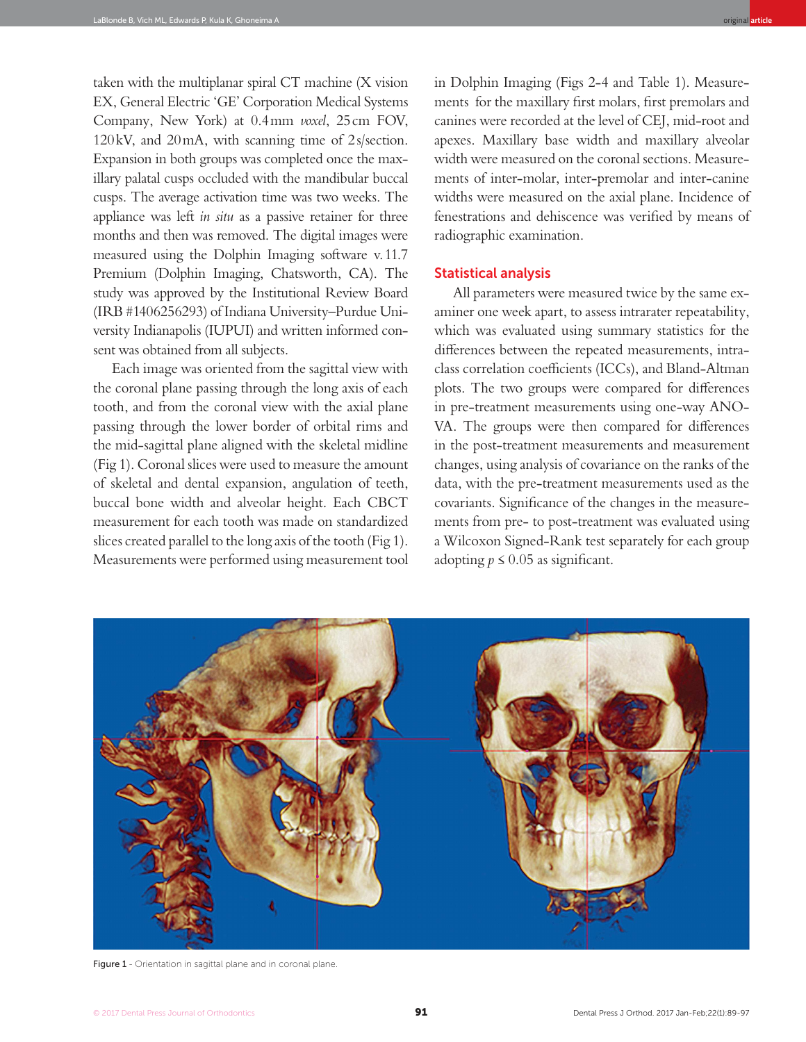taken with the multiplanar spiral CT machine (X vision EX, General Electric 'GE' Corporation Medical Systems Company, New York) at 0.4 mm *voxel*, 25 cm FOV, 120 kV, and 20 mA, with scanning time of 2 s/section. Expansion in both groups was completed once the maxillary palatal cusps occluded with the mandibular buccal cusps. The average activation time was two weeks. The appliance was left *in situ* as a passive retainer for three months and then was removed. The digital images were measured using the Dolphin Imaging sotware v. 11.7 Premium (Dolphin Imaging, Chatsworth, CA). The study was approved by the Institutional Review Board (IRB #1406256293) of Indiana University–Purdue University Indianapolis (IUPUI) and written informed consent was obtained from all subjects.

Each image was oriented from the sagittal view with the coronal plane passing through the long axis of each tooth, and from the coronal view with the axial plane passing through the lower border of orbital rims and the mid-sagittal plane aligned with the skeletal midline (Fig 1). Coronal slices were used to measure the amount of skeletal and dental expansion, angulation of teeth, buccal bone width and alveolar height. Each CBCT measurement for each tooth was made on standardized slices created parallel to the long axis of the tooth (Fig 1). Measurements were performed using measurement tool in Dolphin Imaging (Figs 2-4 and Table 1). Measurements for the maxillary first molars, first premolars and canines were recorded at the level of CEJ, mid-root and apexes. Maxillary base width and maxillary alveolar width were measured on the coronal sections. Measurements of inter-molar, inter-premolar and inter-canine widths were measured on the axial plane. Incidence of fenestrations and dehiscence was verified by means of radiographic examination.

## Statistical analysis

All parameters were measured twice by the same examiner one week apart, to assess intrarater repeatability, which was evaluated using summary statistics for the diferences between the repeated measurements, intraclass correlation coefficients (ICCs), and Bland-Altman plots. The two groups were compared for diferences in pre-treatment measurements using one-way ANO-VA. The groups were then compared for diferences in the post-treatment measurements and measurement changes, using analysis of covariance on the ranks of the data, with the pre-treatment measurements used as the covariants. Significance of the changes in the measurements from pre- to post-treatment was evaluated using a Wilcoxon Signed-Rank test separately for each group adopting  $p \le 0.05$  as significant.



Figure 1 - Orientation in sagittal plane and in coronal plane.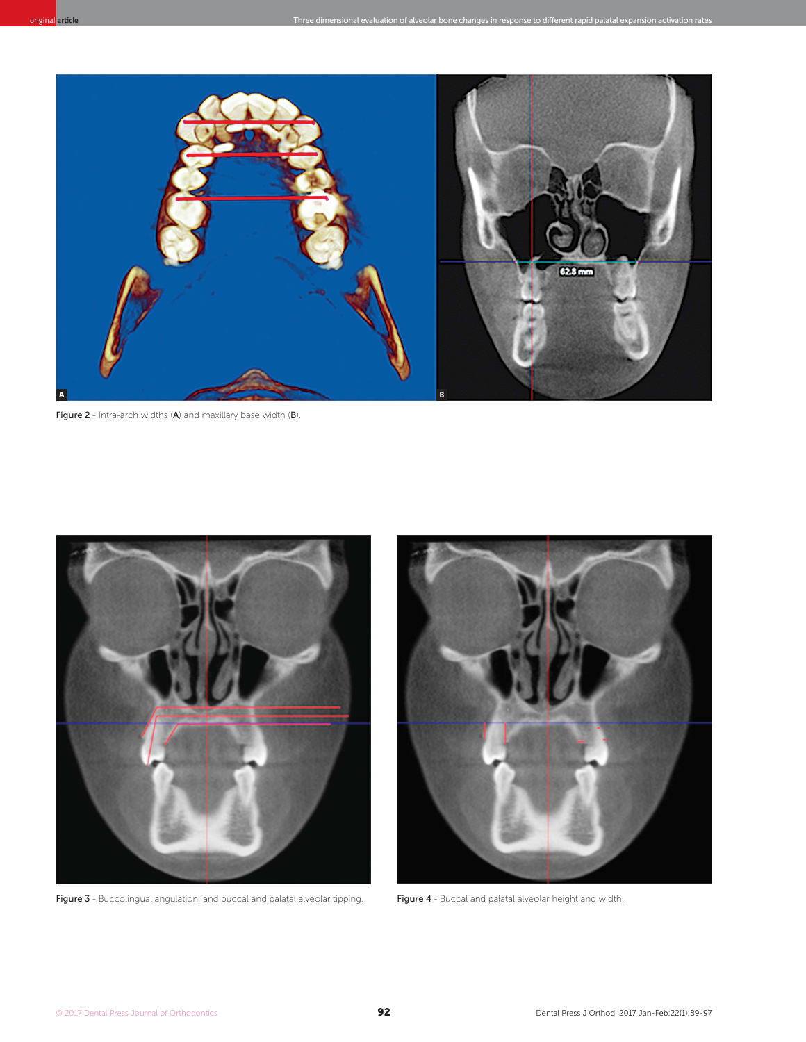

Figure 2 - Intra-arch widths (A) and maxillary base width (B).



Figure 3 - Buccolingual angulation, and buccal and palatal alveolar tipping. Figure 4 - Buccal and palatal alveolar height and width.

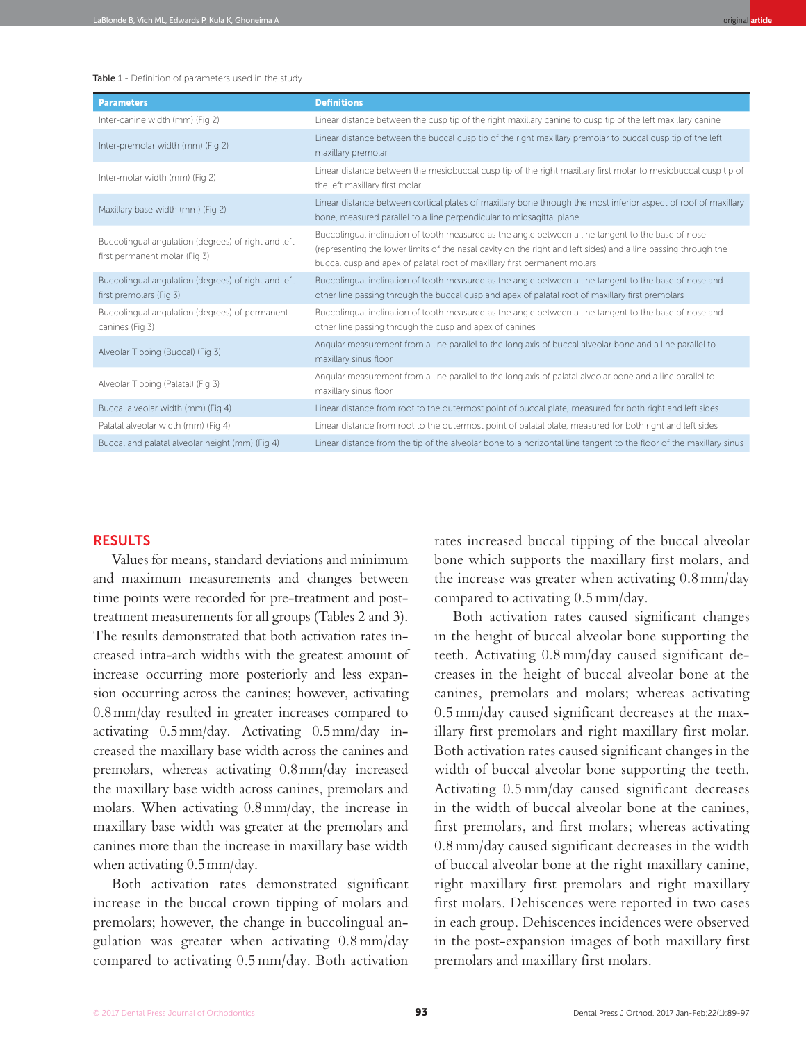#### Table 1 - Definition of parameters used in the study.

| <b>Parameters</b>                                                                    | <b>Definitions</b>                                                                                                                                                                                                                                                                               |
|--------------------------------------------------------------------------------------|--------------------------------------------------------------------------------------------------------------------------------------------------------------------------------------------------------------------------------------------------------------------------------------------------|
| Inter-canine width (mm) (Fig 2)                                                      | Linear distance between the cusp tip of the right maxillary canine to cusp tip of the left maxillary canine                                                                                                                                                                                      |
| Inter-premolar width (mm) (Fig 2)                                                    | Linear distance between the buccal cusp tip of the right maxillary premolar to buccal cusp tip of the left<br>maxillary premolar                                                                                                                                                                 |
| Inter-molar width (mm) (Fig 2)                                                       | Linear distance between the mesiobuccal cusp tip of the right maxillary first molar to mesiobuccal cusp tip of<br>the left maxillary first molar                                                                                                                                                 |
| Maxillary base width (mm) (Fig 2)                                                    | Linear distance between cortical plates of maxillary bone through the most inferior aspect of roof of maxillary<br>bone, measured parallel to a line perpendicular to midsagittal plane                                                                                                          |
| Buccolingual angulation (degrees) of right and left<br>first permanent molar (Fig 3) | Buccolingual inclination of tooth measured as the angle between a line tangent to the base of nose<br>(representing the lower limits of the nasal cavity on the right and left sides) and a line passing through the<br>buccal cusp and apex of palatal root of maxillary first permanent molars |
| Buccolingual angulation (degrees) of right and left<br>first premolars (Fig 3)       | Buccolingual inclination of tooth measured as the angle between a line tangent to the base of nose and<br>other line passing through the buccal cusp and apex of palatal root of maxillary first premolars                                                                                       |
| Buccolingual angulation (degrees) of permanent<br>canines (Fig 3)                    | Buccolingual inclination of tooth measured as the angle between a line tangent to the base of nose and<br>other line passing through the cusp and apex of canines                                                                                                                                |
| Alveolar Tipping (Buccal) (Fig 3)                                                    | Angular measurement from a line parallel to the long axis of buccal alveolar bone and a line parallel to<br>maxillary sinus floor                                                                                                                                                                |
| Alveolar Tipping (Palatal) (Fig 3)                                                   | Angular measurement from a line parallel to the long axis of palatal alveolar bone and a line parallel to<br>maxillary sinus floor                                                                                                                                                               |
| Buccal alveolar width (mm) (Fig 4)                                                   | Linear distance from root to the outermost point of buccal plate, measured for both right and left sides                                                                                                                                                                                         |
| Palatal alveolar width (mm) (Fig 4)                                                  | Linear distance from root to the outermost point of palatal plate, measured for both right and left sides                                                                                                                                                                                        |
| Buccal and palatal alveolar height (mm) (Fig 4)                                      | Linear distance from the tip of the alveolar bone to a horizontal line tangent to the floor of the maxillary sinus                                                                                                                                                                               |

## RESULTS

Values for means, standard deviations and minimum and maximum measurements and changes between time points were recorded for pre-treatment and posttreatment measurements for all groups (Tables 2 and 3). The results demonstrated that both activation rates increased intra-arch widths with the greatest amount of increase occurring more posteriorly and less expansion occurring across the canines; however, activating 0.8 mm/day resulted in greater increases compared to activating 0.5 mm/day. Activating 0.5 mm/day increased the maxillary base width across the canines and premolars, whereas activating 0.8 mm/day increased the maxillary base width across canines, premolars and molars. When activating 0.8 mm/day, the increase in maxillary base width was greater at the premolars and canines more than the increase in maxillary base width when activating 0.5 mm/day.

Both activation rates demonstrated significant increase in the buccal crown tipping of molars and premolars; however, the change in buccolingual angulation was greater when activating 0.8 mm/day compared to activating 0.5 mm/day. Both activation

rates increased buccal tipping of the buccal alveolar bone which supports the maxillary first molars, and the increase was greater when activating 0.8 mm/day compared to activating 0.5 mm/day.

Both activation rates caused significant changes in the height of buccal alveolar bone supporting the teeth. Activating 0.8 mm/day caused significant decreases in the height of buccal alveolar bone at the canines, premolars and molars; whereas activating 0.5 mm/day caused significant decreases at the maxillary first premolars and right maxillary first molar. Both activation rates caused significant changes in the width of buccal alveolar bone supporting the teeth. Activating 0.5 mm/day caused significant decreases in the width of buccal alveolar bone at the canines, first premolars, and first molars; whereas activating 0.8 mm/day caused significant decreases in the width of buccal alveolar bone at the right maxillary canine, right maxillary first premolars and right maxillary first molars. Dehiscences were reported in two cases in each group. Dehiscences incidences were observed in the post-expansion images of both maxillary first premolars and maxillary first molars.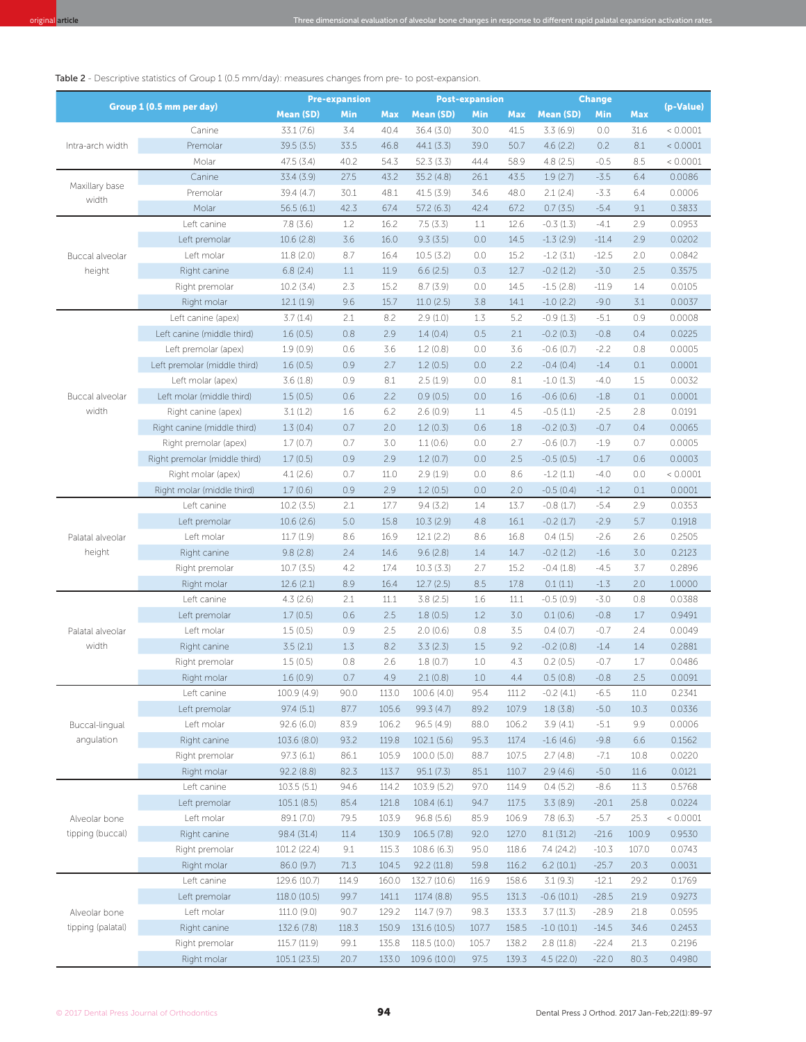Table 2 - Descriptive statistics of Group 1 (0.5 mm/day): measures changes from pre- to post-expansion.

| Group 1 (0.5 mm per day)           |                               | <b>Pre-expansion</b>     |       |            | <b>Post-expansion</b>     |       |            | <b>Change</b>        |                   |       |           |
|------------------------------------|-------------------------------|--------------------------|-------|------------|---------------------------|-------|------------|----------------------|-------------------|-------|-----------|
|                                    |                               | <b>Mean (SD)</b>         | Min   | <b>Max</b> | <b>Mean (SD)</b>          | Min   | <b>Max</b> | <b>Mean (SD)</b>     | Min               | Max   | (p-Value) |
| Intra-arch width                   | Canine                        | 33.1 (7.6)               | 3.4   | 40.4       | 36.4 (3.0)                | 30.0  | 41.5       | 3.3(6.9)             | 0.0               | 31.6  | < 0.0001  |
|                                    | Premolar                      | 39.5(3.5)                | 33.5  | 46.8       | 44.1(3.3)                 | 39.0  | 50.7       | 4.6(2.2)             | 0.2               | 8.1   | < 0.0001  |
|                                    | Molar                         | 47.5(3.4)                | 40.2  | 54.3       | 52.3(3.3)                 | 44.4  | 58.9       | 4.8(2.5)             | $-0.5$            | 8.5   | < 0.0001  |
|                                    | Canine                        | 33.4 (3.9)               | 27.5  | 43.2       | 35.2 (4.8)                | 26.1  | 43.5       | 1.9(2.7)             | $-3.5$            | 6.4   | 0.0086    |
| Maxillary base<br>width            | Premolar                      | 39.4 (4.7)               | 30.1  | 48.1       | 41.5 (3.9)                | 34.6  | 48.0       | 2.1(2.4)             | $-3.3$            | 6.4   | 0.0006    |
|                                    | Molar                         | 56.5(6.1)                | 42.3  | 67.4       | 57.2(6.3)                 | 42.4  | 67.2       | 0.7(3.5)             | $-5.4$            | 9.1   | 0.3833    |
|                                    | Left canine                   | 7.8(3.6)                 | 1.2   | 16.2       | 7.5(3.3)                  | 1.1   | 12.6       | $-0.3(1.3)$          | $-4.1$            | 2.9   | 0.0953    |
|                                    | Left premolar                 | 10.6(2.8)                | 3.6   | 16.0       | 9.3(3.5)                  | 0.0   | 14.5       | $-1.3(2.9)$          | $-11.4$           | 2.9   | 0.0202    |
| Buccal alveolar<br>height          | Left molar                    | 11.8 (2.0)               | 8.7   | 16.4       | 10.5(3.2)                 | 0.0   | 15.2       | $-1.2(3.1)$          | $-12.5$           | 2.0   | 0.0842    |
|                                    | Right canine                  | 6.8(2.4)                 | 1.1   | 11.9       | 6.6(2.5)                  | 0.3   | 12.7       | $-0.2$ (1.2)         | $-3.0$            | 2.5   | 0.3575    |
|                                    | Right premolar                | 10.2(3.4)                | 2.3   | 15.2       | 8.7(3.9)                  | 0.0   | 14.5       | $-1.5(2.8)$          | $-11.9$           | 1.4   | 0.0105    |
|                                    | Right molar                   | 12.1(1.9)                | 9.6   | 15.7       | 11.0(2.5)                 | 3.8   | 14.1       | $-1.0$ (2.2)         | $-9.0$            | 3.1   | 0.0037    |
|                                    | Left canine (apex)            | 3.7(1.4)                 | 2.1   | 8.2        | 2.9(1.0)                  | 1.3   | 5.2        | $-0.9(1.3)$          | $-5.1$            | 0.9   | 0.0008    |
|                                    | Left canine (middle third)    | 1.6(0.5)                 | 0.8   | 2.9        | 1.4(0.4)                  | 0.5   | 2.1        | $-0.2(0.3)$          | $-0.8$            | 0.4   | 0.0225    |
|                                    | Left premolar (apex)          | 1.9(0.9)                 | 0.6   | 3.6        | 1.2(0.8)                  | 0.0   | 3.6        | $-0.6(0.7)$          | $-2.2$            | 0.8   | 0.0005    |
|                                    | Left premolar (middle third)  | 1.6(0.5)                 | 0.9   | 2.7        | 1.2(0.5)                  | 0.0   | 2.2        | $-0.4(0.4)$          | $-1.4$            | 0.1   | 0.0001    |
| Buccal alveolar<br>width           | Left molar (apex)             | 3.6(1.8)                 | 0.9   | 8.1        | 2.5(1.9)                  | 0.0   | 8.1        | $-1.0(1.3)$          | $-4.0$            | 1.5   | 0.0032    |
|                                    | Left molar (middle third)     | 1.5(0.5)                 | 0.6   | 2.2        | 0.9(0.5)                  | 0.0   | 1.6        | $-0.6(0.6)$          | $-1.8$            | 0.1   | 0.0001    |
|                                    | Right canine (apex)           | 3.1(1.2)                 | 1.6   | 6.2        | 2.6(0.9)                  | 1.1   | 4.5        | $-0.5(1.1)$          | $-2.5$            | 2.8   | 0.0191    |
|                                    | Right canine (middle third)   | 1.3(0.4)                 | 0.7   | 2.0        | 1.2(0.3)                  | 0.6   | 1.8        | $-0.2(0.3)$          | $-0.7$            | 0.4   | 0.0065    |
|                                    | Right premolar (apex)         | 1.7(0.7)                 | 0.7   | 3.0        | 1.1(0.6)                  | 0.0   | 2.7        | $-0.6(0.7)$          | $-1.9$            | 0.7   | 0.0005    |
|                                    | Right premolar (middle third) | 1.7(0.5)                 | 0.9   | 2.9        | 1.2(0.7)                  | 0.0   | 2.5        | $-0.5(0.5)$          | $-1.7$            | 0.6   | 0.0003    |
|                                    | Right molar (apex)            | 4.1(2.6)                 | 0.7   | 11.0       | 2.9(1.9)                  | 0.0   | 8.6        | $-1.2(1.1)$          | $-4.0$            | 0.0   | < 0.0001  |
|                                    | Right molar (middle third)    | 1.7(0.6)                 | 0.9   | 2.9        | 1.2(0.5)                  | 0.0   | 2.0        | $-0.5(0.4)$          | $-1.2$            | 0.1   | 0.0001    |
|                                    | Left canine                   | 10.2(3.5)                | 2.1   | 17.7       | 9.4(3.2)                  | 1.4   | 13.7       | $-0.8(1.7)$          | $-5.4$            | 2.9   | 0.0353    |
|                                    | Left premolar                 | 10.6(2.6)                | 5.0   | 15.8       | 10.3(2.9)                 | 4.8   | 16.1       | $-0.2$ (1.7)         | $-2.9$            | 5.7   | 0.1918    |
| Palatal alveolar                   | Left molar                    | 11.7(1.9)                | 8.6   | 16.9       | 12.1(2.2)                 | 8.6   | 16.8       | 0.4(1.5)             | $-2.6$            | 2.6   | 0.2505    |
| height                             | Right canine                  | 9.8(2.8)                 | 2.4   | 14.6       | 9.6(2.8)                  | 1.4   | 14.7       | $-0.2(1.2)$          | $-1.6$            | 3.0   | 0.2123    |
|                                    | Right premolar                | 10.7(3.5)                | 4.2   | 17.4       | 10.3(3.3)                 | 2.7   | 15.2       | $-0.4(1.8)$          | $-4.5$            | 3.7   | 0.2896    |
|                                    | Right molar                   | 12.6(2.1)                | 8.9   | 16.4       | 12.7(2.5)                 | 8.5   | 17.8       | 0.1(1.1)             | $-1.3$            | 2.0   | 1.0000    |
|                                    | Left canine                   | 4.3(2.6)                 | 2.1   | 11.1       | 3.8(2.5)                  | 1.6   | 11.1       | $-0.5(0.9)$          | $-3.0$            | 0.8   | 0.0388    |
|                                    | Left premolar                 | 1.7(0.5)                 | 0.6   | 2.5        | 1.8(0.5)                  | 1.2   | 3.0        | 0.1(0.6)             | $-0.8$            | 1.7   | 0.9491    |
| Palatal alveolar                   | Left molar                    | 1.5(0.5)                 | 0.9   | 2.5        | 2.0(0.6)                  | 0.8   | 3.5        | 0.4(0.7)             | $-0.7$            | 2.4   | 0.0049    |
| width                              | Right canine                  | 3.5(2.1)                 | 1.3   | 8.2        | 3.3(2.3)                  | 1.5   | 9.2        | $-0.2(0.8)$          | $-1.4$            | 1.4   | 0.2881    |
|                                    | Right premolar                | 1.5(0.5)                 | 0.8   | 2.6        | 1.8(0.7)                  | 1.0   | 4.3        | 0.2(0.5)             | $-0.7$            | 1.7   | 0.0486    |
|                                    | Right molar                   | 1.6(0.9)                 | 0.7   | 4.9        | 2.1(0.8)                  | 1.0   | 4.4        | 0.5(0.8)             | $-0.8$            | 2.5   | 0.0091    |
|                                    | Left canine                   | 100.9 (4.9)              | 90.0  | 113.0      | 100.6 (4.0)               | 95.4  | 111.2      | $-0.2(4.1)$          | $-6.5$            | 11.0  | 0.2341    |
|                                    | Left premolar                 | 97.4 (5.1)               | 87.7  | 105.6      | 99.3 (4.7)                | 89.2  | 107.9      | 1.8(3.8)             | $-5.0$            | 10.3  | 0.0336    |
| Buccal-lingual                     | Left molar                    | 92.6 (6.0)               | 83.9  | 106.2      | 96.5(4.9)                 | 88.0  | 106.2      | 3.9(4.1)             | $-5.1$            | 9.9   | 0.0006    |
| angulation                         | Right canine                  | 103.6 (8.0)              | 93.2  | 119.8      | 102.1(5.6)                | 95.3  | 117.4      | $-1.6(4.6)$          | $-9.8$            | 6.6   | 0.1562    |
|                                    | Right premolar                | 97.3(6.1)                | 86.1  | 105.9      | 100.0(5.0)                | 88.7  | 107.5      | 2.7(4.8)             | $-7.1$            | 10.8  | 0.0220    |
|                                    | Right molar                   | 92.2(8.8)                | 82.3  | 113.7      | 95.1(7.3)                 | 85.1  | 110.7      | 2.9(4.6)             | $-5.0$            | 11.6  | 0.0121    |
|                                    | Left canine                   | 103.5(5.1)               | 94.6  | 114.2      | 103.9 (5.2)               | 97.0  | 114.9      | 0.4(5.2)             | $-8.6$            | 11.3  | 0.5768    |
| Alveolar bone<br>tipping (buccal)  |                               |                          | 85.4  |            |                           | 94.7  | 117.5      |                      |                   | 25.8  | 0.0224    |
|                                    | Left premolar<br>Left molar   | 105.1(8.5)<br>89.1 (7.0) | 79.5  | 121.8      | 108.4 (6.1)<br>96.8 (5.6) | 85.9  |            | 3.3(8.9)<br>7.8(6.3) | $-20.1$<br>$-5.7$ | 25.3  | < 0.0001  |
|                                    |                               |                          |       | 103.9      |                           |       | 106.9      |                      |                   |       |           |
|                                    | Right canine                  | 98.4 (31.4)              | 11.4  | 130.9      | 106.5(7.8)                | 92.0  | 127.0      | 8.1(31.2)            | $-21.6$           | 100.9 | 0.9530    |
|                                    | Right premolar                | 101.2 (22.4)             | 9.1   | 115.3      | 108.6 (6.3)               | 95.0  | 118.6      | 7.4 (24.2)           | $-10.3$           | 107.0 | 0.0743    |
|                                    | Right molar                   | 86.0 (9.7)               | 71.3  | 104.5      | 92.2(11.8)                | 59.8  | 116.2      | 6.2(10.1)            | $-25.7$           | 20.3  | 0.0031    |
| Alveolar bone<br>tipping (palatal) | Left canine                   | 129.6 (10.7)             | 114.9 | 160.0      | 132.7 (10.6)              | 116.9 | 158.6      | 3.1(9.3)             | $-12.1$           | 29.2  | 0.1769    |
|                                    | Left premolar                 | 118.0 (10.5)             | 99.7  | 141.1      | 117.4 (8.8)               | 95.5  | 131.3      | $-0.6(10.1)$         | $-28.5$           | 21.9  | 0.9273    |
|                                    | Left molar                    | 111.0 (9.0)              | 90.7  | 129.2      | 114.7 (9.7)               | 98.3  | 133.3      | 3.7(11.3)            | $-28.9$           | 21.8  | 0.0595    |
|                                    | Right canine                  | 132.6 (7.8)              | 118.3 | 150.9      | 131.6 (10.5)              | 107.7 | 158.5      | $-1.0(10.1)$         | $-14.5$           | 34.6  | 0.2453    |
|                                    | Right premolar                | 115.7 (11.9)             | 99.1  | 135.8      | 118.5 (10.0)              | 105.7 | 138.2      | 2.8(11.8)            | $-22.4$           | 21.3  | 0.2196    |
|                                    | Right molar                   | 105.1 (23.5)             | 20.7  | 133.0      | 109.6 (10.0)              | 97.5  | 139.3      | 4.5(22.0)            | $-22.0$           | 80.3  | 0.4980    |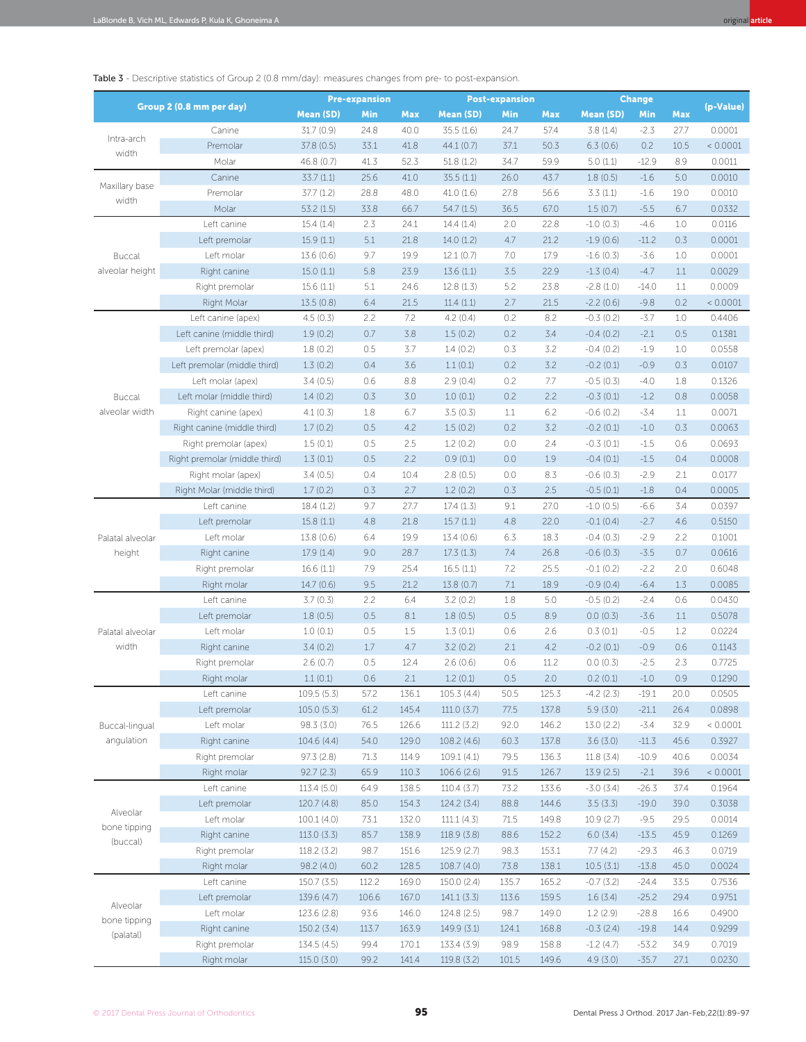Table 3 - Descriptive statistics of Group 2 (0.8 mm/day): measures changes from pre- to post-expansion.

| Group 2 (0.8 mm per day)              |                               | <b>Pre-expansion</b> |       |       | <b>Post-expansion</b> |       |       | <b>Change</b>    |         |      |           |
|---------------------------------------|-------------------------------|----------------------|-------|-------|-----------------------|-------|-------|------------------|---------|------|-----------|
|                                       |                               | <b>Mean (SD)</b>     | Min   | Max   | <b>Mean (SD)</b>      | Min   | Max   | <b>Mean (SD)</b> | Min     | Max  | (p-Value) |
| Intra-arch<br>width                   | Canine                        | 31.7(0.9)            | 24.8  | 40.0  | 35.5(1.6)             | 24.7  | 57.4  | 3.8(1.4)         | $-2.3$  | 27.7 | 0.0001    |
|                                       | Premolar                      | 37.8 (0.5)           | 33.1  | 41.8  | 44.1(0.7)             | 37.1  | 50.3  | 6.3(0.6)         | 0.2     | 10.5 | < 0.0001  |
|                                       | Molar                         | 46.8 (0.7)           | 41.3  | 52.3  | 51.8(1.2)             | 34.7  | 59.9  | 5.0(1.1)         | $-12.9$ | 8.9  | 0.0011    |
| Maxillary base<br>width               | Canine                        | 33.7(1.1)            | 25.6  | 41.0  | 35.5(1.1)             | 26.0  | 43.7  | 1.8(0.5)         | $-1.6$  | 5.0  | 0.0010    |
|                                       | Premolar                      | 37.7(1.2)            | 28.8  | 48.0  | 41.0(1.6)             | 27.8  | 56.6  | 3.3(1.1)         | $-1.6$  | 19.0 | 0.0010    |
|                                       | Molar                         | 53.2(1.5)            | 33.8  | 66.7  | 54.7(1.5)             | 36.5  | 67.0  | 1.5(0.7)         | $-5.5$  | 6.7  | 0.0332    |
|                                       | Left canine                   | 15.4(1.4)            | 2.3   | 24.1  | 14.4(1.4)             | 2.0   | 22.8  | $-1.0$ (0.3)     | $-4.6$  | 1.0  | 0.0116    |
| <b>Buccal</b><br>alveolar height      | Left premolar                 | 15.9(1.1)            | 5.1   | 21.8  | 14.0 (1.2)            | 4.7   | 21.2  | $-1.9(0.6)$      | $-11.2$ | 0.3  | 0.0001    |
|                                       | Left molar                    | 13.6(0.6)            | 9.7   | 19.9  | 12.1(0.7)             | 7.0   | 17.9  | $-1.6(0.3)$      | $-3.6$  | 1.0  | 0.0001    |
|                                       | Right canine                  | 15.0(1.1)            | 5.8   | 23.9  | 13.6(1.1)             | 3.5   | 22.9  | $-1.3(0.4)$      | $-4.7$  | 1.1  | 0.0029    |
|                                       | Right premolar                | 15.6(1.1)            | 5.1   | 24.6  | 12.8(1.3)             | 5.2   | 23.8  | $-2.8(1.0)$      | $-14.0$ | 1.1  | 0.0009    |
|                                       | Right Molar                   | 13.5 (0.8)           | 6.4   | 21.5  | 11.4(1.1)             | 2.7   | 21.5  | $-2.2(0.6)$      | $-9.8$  | 0.2  | < 0.0001  |
|                                       | Left canine (apex)            | 4.5(0.3)             | 2.2   | 7.2   | 4.2(0.4)              | 0.2   | 8.2   | $-0.3(0.2)$      | $-3.7$  | 1.0  | 0.4406    |
|                                       | Left canine (middle third)    | 1.9(0.2)             | 0.7   | 3.8   | 1.5(0.2)              | 0.2   | 3.4   | $-0.4(0.2)$      | $-2.1$  | 0.5  | 0.1381    |
|                                       | Left premolar (apex)          | 1.8(0.2)             | 0.5   | 3.7   | 1.4(0.2)              | 0.3   | 3.2   | $-0.4(0.2)$      | $-1.9$  | 1.0  | 0.0558    |
|                                       | Left premolar (middle third)  | 1.3(0.2)             | 0.4   | 3.6   | 1.1(0.1)              | 0.2   | 3.2   | $-0.2(0.1)$      | $-0.9$  | 0.3  | 0.0107    |
|                                       | Left molar (apex)             | 3.4(0.5)             | 0.6   | 8.8   | 2.9(0.4)              | 0.2   | 7.7   | $-0.5(0.3)$      | $-4.0$  | 1.8  | 0.1326    |
| <b>Buccal</b>                         | Left molar (middle third)     | 1.4(0.2)             | 0.3   | 3.0   | 1.0(0.1)              | 0.2   | 2.2   | $-0.3(0.1)$      | $-1.2$  | 0.8  | 0.0058    |
| alveolar width                        | Right canine (apex)           | 4.1(0.3)             | 1.8   | 6.7   | 3.5(0.3)              | 1.1   | 6.2   | $-0.6(0.2)$      | $-3.4$  | 1.1  | 0.0071    |
|                                       | Right canine (middle third)   | 1.7(0.2)             | 0.5   | 4.2   | 1.5(0.2)              | 0.2   | 3.2   | $-0.2(0.1)$      | $-1.0$  | 0.3  | 0.0063    |
|                                       | Right premolar (apex)         | 1.5(0.1)             | 0.5   | 2.5   | 1.2(0.2)              | 0.0   | 2.4   | $-0.3(0.1)$      | $-1.5$  | 0.6  | 0.0693    |
|                                       | Right premolar (middle third) | 1.3(0.1)             | 0.5   | 2.2   | 0.9(0.1)              | 0.0   | 1.9   | $-0.4(0.1)$      | $-1.5$  | 0.4  | 0.0008    |
|                                       | Right molar (apex)            | 3.4(0.5)             | 0.4   | 10.4  | 2.8(0.5)              | 0.0   | 8.3   | $-0.6(0.3)$      | $-2.9$  | 2.1  | 0.0177    |
|                                       | Right Molar (middle third)    | 1.7(0.2)             | 0.3   | 2.7   | 1.2(0.2)              | 0.3   | 2.5   | $-0.5(0.1)$      | $-1.8$  | 0.4  | 0.0005    |
|                                       | Left canine                   | 18.4(1.2)            | 9.7   | 27.7  | 17.4(1.3)             | 9.1   | 27.0  | $-1.0(0.5)$      | $-6.6$  | 3.4  | 0.0397    |
|                                       | Left premolar                 | 15.8(1.1)            | 4.8   | 21.8  | 15.7(1.1)             | 4.8   | 22.0  | $-0.1(0.4)$      | $-2.7$  | 4.6  | 0.5150    |
| Palatal alveolar                      | Left molar                    | 13.8(0.6)            | 6.4   | 19.9  | 13.4(0.6)             | 6.3   | 18.3  | $-0.4(0.3)$      | $-2.9$  | 2.2  | 0.1001    |
| height                                | Right canine                  | 17.9 (1.4)           | 9.0   | 28.7  | 17.3(1.3)             | 7.4   | 26.8  | $-0.6(0.3)$      | $-3.5$  | 0.7  | 0.0616    |
|                                       | Right premolar                | 16.6(1.1)            | 7.9   | 25.4  | 16.5(1.1)             | 7.2   | 25.5  | $-0.1(0.2)$      | $-2.2$  | 2.0  | 0.6048    |
|                                       | Right molar                   | 14.7(0.6)            | 9.5   | 21.2  | 13.8(0.7)             | 7.1   | 18.9  | $-0.9(0.4)$      | $-6.4$  | 1.3  | 0.0085    |
|                                       | Left canine                   | 3.7(0.3)             | 2.2   | 6.4   | 3.2(0.2)              | 1.8   | 5.0   | $-0.5(0.2)$      | $-2.4$  | 0.6  | 0.0430    |
|                                       | Left premolar                 | 1.8(0.5)             | 0.5   | 8.1   | 1.8(0.5)              | 0.5   | 8.9   | 0.0(0.3)         | $-3.6$  | 1.1  | 0.5078    |
| Palatal alveolar                      | Left molar                    | 1.0(0.1)             | 0.5   | 1.5   | 1.3(0.1)              | 0.6   | 2.6   | 0.3(0.1)         | $-0.5$  | 1.2  | 0.0224    |
| width                                 | Right canine                  | 3.4(0.2)             | 1.7   | 4.7   | 3.2(0.2)              | 2.1   | 4.2   | $-0.2(0.1)$      | $-0.9$  | 0.6  | 0.1143    |
|                                       | Right premolar                | 2.6(0.7)             | 0.5   | 12.4  | 2.6(0.6)              | 0.6   | 11.2  | 0.0(0.3)         | $-2.5$  | 2.3  | 0.7725    |
|                                       | Right molar                   | 1.1(0.1)             | 0.6   | 2.1   | 1.2(0.1)              | 0.5   | 2.0   | 0.2(0.1)         | $-1.0$  | 0.9  | 0.1290    |
|                                       | Left canine                   | 109.5(5.3)           | 57.2  | 136.1 | 105.3 (4.4)           | 50.5  | 125.3 | $-4.2$ (2.3)     | $-19.1$ | 20.0 | 0.0505    |
|                                       | Left premolar                 | 105.0(5.3)           | 61.2  | 145.4 | 111.0(3.7)            | 77.5  | 137.8 | 5.9(3.0)         | $-21.1$ | 26.4 | 0.0898    |
| Buccal-lingual<br>angulation          | Left molar                    | 98.3 (3.0)           | 76.5  | 126.6 | 111.2 (3.2)           | 92.0  | 146.2 | 13.0 (2.2)       | $-3.4$  | 32.9 | < 0.0001  |
|                                       | Right canine                  | 104.6 (4.4)          | 54.0  | 129.0 | 108.2 (4.6)           | 60.3  | 137.8 | 3.6(3.0)         | $-11.3$ | 45.6 | 0.3927    |
|                                       | Right premolar                | 97.3(2.8)            | 71.3  | 114.9 | 109.1 (4.1)           | 79.5  | 136.3 | 11.8 (3.4)       | $-10.9$ | 40.6 | 0.0034    |
|                                       | Right molar                   | 92.7(2.3)            | 65.9  | 110.3 | 106.6 (2.6)           | 91.5  | 126.7 | 13.9(2.5)        | $-2.1$  | 39.6 | < 0.0001  |
|                                       | Left canine                   | 113.4 (5.0)          | 64.9  | 138.5 | 110.4(3.7)            | 73.2  | 133.6 | $-3.0(3.4)$      | $-26.3$ | 37.4 | 0.1964    |
| Alveolar<br>bone tipping<br>(buccal)  | Left premolar                 | 120.7 (4.8)          | 85.0  | 154.3 | 124.2 (3.4)           | 88.8  | 144.6 | 3.5(3.3)         | $-19.0$ | 39.0 | 0.3038    |
|                                       | Left molar                    | 100.1 (4.0)          | 73.1  | 132.0 | 111.1(4.3)            | 71.5  | 149.8 | 10.9(2.7)        | $-9.5$  | 29.5 | 0.0014    |
|                                       | Right canine                  | 113.0(3.3)           | 85.7  | 138.9 | 118.9 (3.8)           | 88.6  | 152.2 | 6.0(3.4)         | $-13.5$ | 45.9 | 0.1269    |
|                                       | Right premolar                | 118.2(3.2)           | 98.7  | 151.6 | 125.9(2.7)            | 98.3  | 153.1 | 7.7(4.2)         | $-29.3$ | 46.3 | 0.0719    |
|                                       | Right molar                   | 98.2 (4.0)           | 60.2  | 128.5 | 108.7 (4.0)           | 73.8  | 138.1 | 10.5(3.1)        | $-13.8$ | 45.0 | 0.0024    |
| Alveolar<br>bone tipping<br>(palatal) | Left canine                   | 150.7(3.5)           | 112.2 | 169.0 | 150.0 (2.4)           | 135.7 | 165.2 | $-0.7(3.2)$      | $-24.4$ | 33.5 | 0.7536    |
|                                       | Left premolar                 | 139.6 (4.7)          | 106.6 | 167.0 | 141.1(3.3)            | 113.6 | 159.5 | 1.6(3.4)         | $-25.2$ | 29.4 | 0.9751    |
|                                       | Left molar                    | 123.6 (2.8)          | 93.6  | 146.0 | 124.8 (2.5)           | 98.7  | 149.0 | 1.2(2.9)         | $-28.8$ | 16.6 | 0.4900    |
|                                       | Right canine                  | 150.2 (3.4)          | 113.7 | 163.9 | 149.9 (3.1)           | 124.1 | 168.8 | $-0.3(2.4)$      | $-19.8$ | 14.4 | 0.9299    |
|                                       | Right premolar                | 134.5 (4.5)          | 99.4  | 170.1 | 133.4 (3.9)           | 98.9  | 158.8 | $-1.2(4.7)$      | $-53.2$ | 34.9 | 0.7019    |
|                                       | Right molar                   | 115.0(3.0)           | 99.2  | 141.4 | 119.8 (3.2)           | 101.5 | 149.6 | 4.9(3.0)         | $-35.7$ | 27.1 | 0.0230    |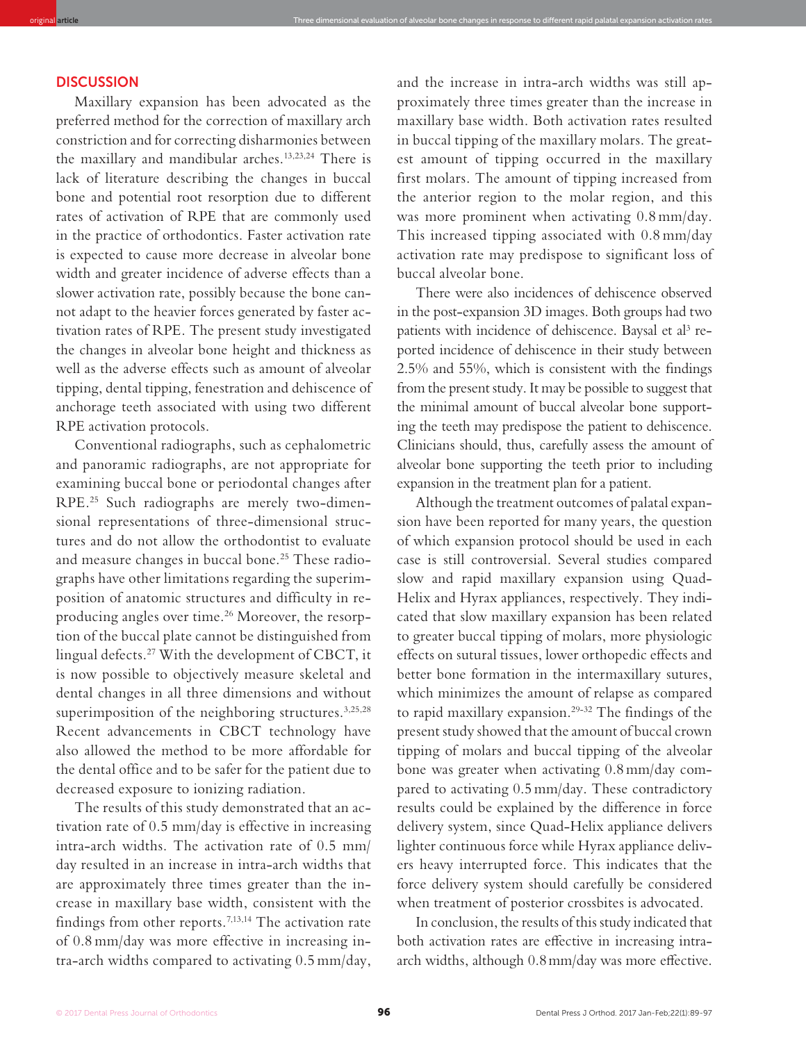## **DISCUSSION**

Maxillary expansion has been advocated as the preferred method for the correction of maxillary arch constriction and for correcting disharmonies between the maxillary and mandibular arches.13,23,24 There is lack of literature describing the changes in buccal bone and potential root resorption due to different rates of activation of RPE that are commonly used in the practice of orthodontics. Faster activation rate is expected to cause more decrease in alveolar bone width and greater incidence of adverse effects than a slower activation rate, possibly because the bone cannot adapt to the heavier forces generated by faster activation rates of RPE. The present study investigated the changes in alveolar bone height and thickness as well as the adverse effects such as amount of alveolar tipping, dental tipping, fenestration and dehiscence of anchorage teeth associated with using two different RPE activation protocols.

original **article** Three dimensional evaluation of alveolar bone changes in response to diferent rapid palatal expansion activation rates

Conventional radiographs, such as cephalometric and panoramic radiographs, are not appropriate for examining buccal bone or periodontal changes after RPE.25 Such radiographs are merely two-dimensional representations of three-dimensional structures and do not allow the orthodontist to evaluate and measure changes in buccal bone.<sup>25</sup> These radiographs have other limitations regarding the superimposition of anatomic structures and difficulty in reproducing angles over time.<sup>26</sup> Moreover, the resorption of the buccal plate cannot be distinguished from lingual defects.<sup>27</sup> With the development of CBCT, it is now possible to objectively measure skeletal and dental changes in all three dimensions and without superimposition of the neighboring structures.<sup>3,25,28</sup> Recent advancements in CBCT technology have also allowed the method to be more affordable for the dental office and to be safer for the patient due to decreased exposure to ionizing radiation.

The results of this study demonstrated that an activation rate of 0.5 mm/day is effective in increasing intra-arch widths. The activation rate of 0.5 mm/ day resulted in an increase in intra-arch widths that are approximately three times greater than the increase in maxillary base width, consistent with the findings from other reports.<sup>7,13,14</sup> The activation rate of 0.8 mm/day was more effective in increasing intra-arch widths compared to activating 0.5 mm/day, and the increase in intra-arch widths was still approximately three times greater than the increase in maxillary base width. Both activation rates resulted in buccal tipping of the maxillary molars. The greatest amount of tipping occurred in the maxillary first molars. The amount of tipping increased from the anterior region to the molar region, and this was more prominent when activating 0.8 mm/day. This increased tipping associated with 0.8 mm/day activation rate may predispose to significant loss of buccal alveolar bone.

There were also incidences of dehiscence observed in the post-expansion 3D images. Both groups had two patients with incidence of dehiscence. Baysal et al<sup>3</sup> reported incidence of dehiscence in their study between 2.5% and 55%, which is consistent with the findings from the present study. It may be possible to suggest that the minimal amount of buccal alveolar bone supporting the teeth may predispose the patient to dehiscence. Clinicians should, thus, carefully assess the amount of alveolar bone supporting the teeth prior to including expansion in the treatment plan for a patient.

Although the treatment outcomes of palatal expansion have been reported for many years, the question of which expansion protocol should be used in each case is still controversial. Several studies compared slow and rapid maxillary expansion using Quad-Helix and Hyrax appliances, respectively. They indicated that slow maxillary expansion has been related to greater buccal tipping of molars, more physiologic effects on sutural tissues, lower orthopedic effects and better bone formation in the intermaxillary sutures, which minimizes the amount of relapse as compared to rapid maxillary expansion.29-32 The findings of the present study showed that the amount of buccal crown tipping of molars and buccal tipping of the alveolar bone was greater when activating 0.8 mm/day compared to activating 0.5 mm/day. These contradictory results could be explained by the difference in force delivery system, since Quad-Helix appliance delivers lighter continuous force while Hyrax appliance delivers heavy interrupted force. This indicates that the force delivery system should carefully be considered when treatment of posterior crossbites is advocated.

In conclusion, the results of this study indicated that both activation rates are efective in increasing intraarch widths, although 0.8 mm/day was more efective.